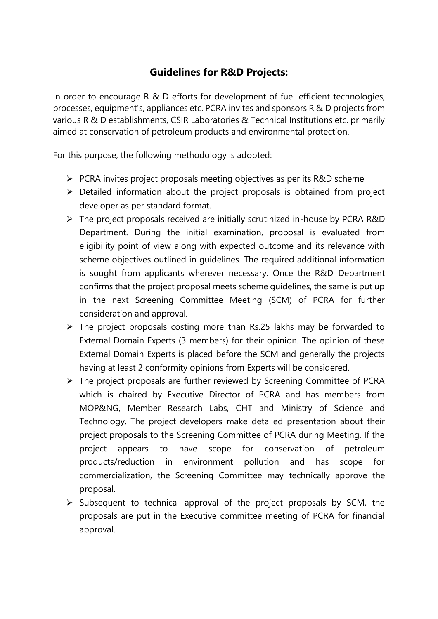## **Guidelines for R&D Projects:**

In order to encourage R & D efforts for development of fuel-efficient technologies, processes, equipment's, appliances etc. PCRA invites and sponsors R & D projects from various R & D establishments, CSIR Laboratories & Technical Institutions etc. primarily aimed at conservation of petroleum products and environmental protection.

For this purpose, the following methodology is adopted:

- $\triangleright$  PCRA invites project proposals meeting objectives as per its R&D scheme
- $\triangleright$  Detailed information about the project proposals is obtained from project developer as per standard format.
- $\triangleright$  The project proposals received are initially scrutinized in-house by PCRA R&D Department. During the initial examination, proposal is evaluated from eligibility point of view along with expected outcome and its relevance with scheme objectives outlined in guidelines. The required additional information is sought from applicants wherever necessary. Once the R&D Department confirms that the project proposal meets scheme guidelines, the same is put up in the next Screening Committee Meeting (SCM) of PCRA for further consideration and approval.
- $\triangleright$  The project proposals costing more than Rs.25 lakhs may be forwarded to External Domain Experts (3 members) for their opinion. The opinion of these External Domain Experts is placed before the SCM and generally the projects having at least 2 conformity opinions from Experts will be considered.
- $\triangleright$  The project proposals are further reviewed by Screening Committee of PCRA which is chaired by Executive Director of PCRA and has members from MOP&NG, Member Research Labs, CHT and Ministry of Science and Technology. The project developers make detailed presentation about their project proposals to the Screening Committee of PCRA during Meeting. If the project appears to have scope for conservation of petroleum products/reduction in environment pollution and has scope for commercialization, the Screening Committee may technically approve the proposal.
- $\triangleright$  Subsequent to technical approval of the project proposals by SCM, the proposals are put in the Executive committee meeting of PCRA for financial approval.